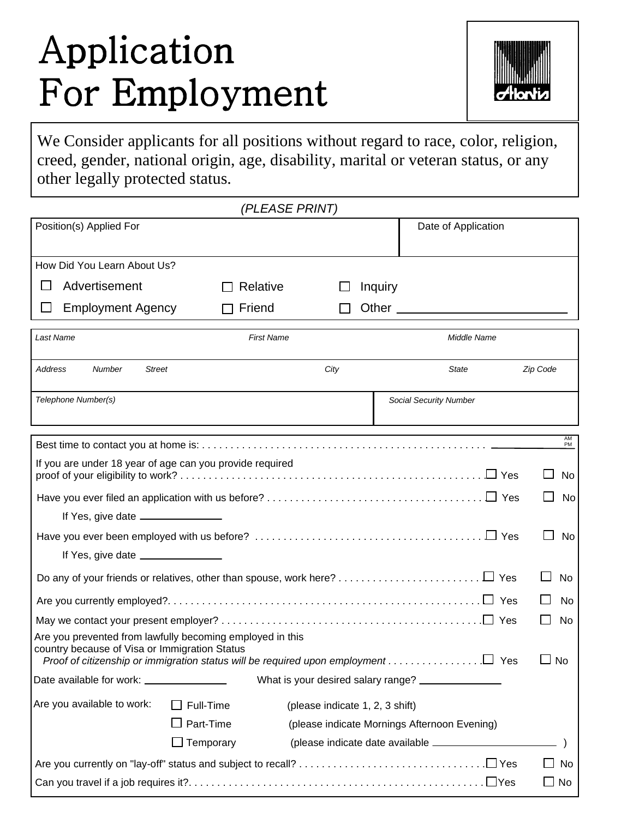## Application For Employment



We Consider applicants for all positions without regard to race, color, religion, creed, gender, national origin, age, disability, marital or veteran status, or any other legally protected status.

|                                                                                                                                                                                                 |           | (PLEASE PRINT)    |                                 |         |                                                    |          |
|-------------------------------------------------------------------------------------------------------------------------------------------------------------------------------------------------|-----------|-------------------|---------------------------------|---------|----------------------------------------------------|----------|
| Position(s) Applied For                                                                                                                                                                         |           |                   |                                 |         | Date of Application                                |          |
| How Did You Learn About Us?                                                                                                                                                                     |           |                   |                                 |         |                                                    |          |
| Advertisement                                                                                                                                                                                   |           | Relative          |                                 | Inquiry |                                                    |          |
| <b>Employment Agency</b>                                                                                                                                                                        |           | Friend            |                                 |         |                                                    |          |
| Last Name                                                                                                                                                                                       |           | <b>First Name</b> |                                 |         | Middle Name                                        |          |
| <b>Address</b><br><b>Number</b><br>Street                                                                                                                                                       |           |                   | City                            |         | State                                              | Zip Code |
| Telephone Number(s)                                                                                                                                                                             |           |                   |                                 |         | <b>Social Security Number</b>                      |          |
|                                                                                                                                                                                                 |           |                   |                                 |         |                                                    | AM<br>PM |
| If you are under 18 year of age can you provide required                                                                                                                                        |           |                   |                                 |         |                                                    | No       |
|                                                                                                                                                                                                 |           |                   |                                 |         |                                                    | No       |
| If Yes, give date ______________                                                                                                                                                                |           |                   |                                 |         |                                                    |          |
|                                                                                                                                                                                                 |           |                   |                                 |         |                                                    | No       |
| If Yes, give date _______________                                                                                                                                                               |           |                   |                                 |         |                                                    |          |
|                                                                                                                                                                                                 |           |                   |                                 |         |                                                    | No       |
|                                                                                                                                                                                                 |           |                   |                                 |         |                                                    | No       |
|                                                                                                                                                                                                 |           |                   |                                 |         |                                                    | No       |
| Are you prevented from lawfully becoming employed in this<br>country because of Visa or Immigration Status<br>Proof of citizenship or immigration status will be required upon employment ∐ Yes |           |                   |                                 |         |                                                    | No       |
|                                                                                                                                                                                                 |           |                   |                                 |         | What is your desired salary range? _______________ |          |
| Are you available to work:                                                                                                                                                                      | Full-Time |                   | (please indicate 1, 2, 3 shift) |         |                                                    |          |
|                                                                                                                                                                                                 | Part-Time |                   |                                 |         | (please indicate Mornings Afternoon Evening)       |          |
|                                                                                                                                                                                                 | Temporary |                   |                                 |         | (please indicate date available ______________     |          |
|                                                                                                                                                                                                 |           |                   |                                 |         |                                                    | No       |
|                                                                                                                                                                                                 |           |                   |                                 |         |                                                    | No       |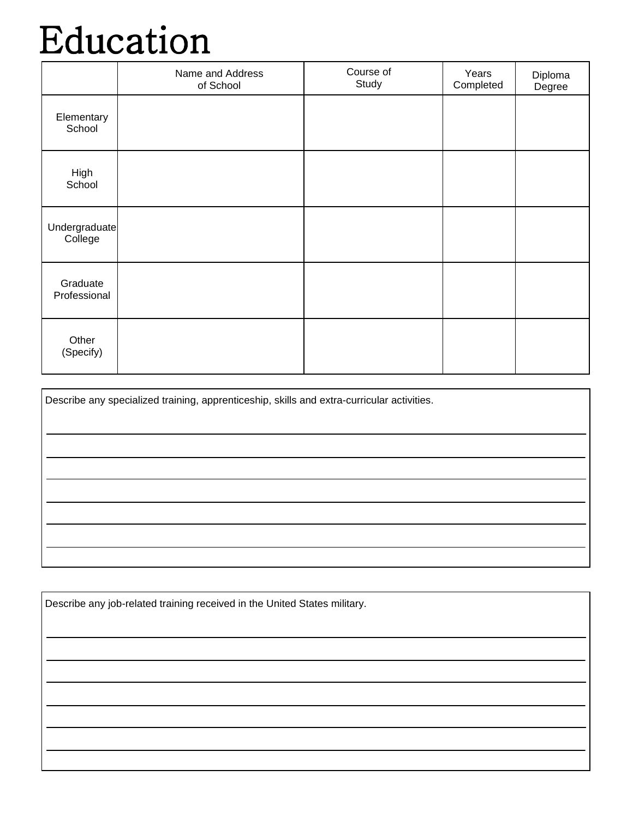### Education

|                          | Name and Address<br>of School | Course of<br>Study | Years<br>Completed | Diploma<br>Degree |
|--------------------------|-------------------------------|--------------------|--------------------|-------------------|
| Elementary<br>School     |                               |                    |                    |                   |
| High<br>School           |                               |                    |                    |                   |
| Undergraduate<br>College |                               |                    |                    |                   |
| Graduate<br>Professional |                               |                    |                    |                   |
| Other<br>(Specify)       |                               |                    |                    |                   |

| Describe any specialized training, apprenticeship, skills and extra-curricular activities. |
|--------------------------------------------------------------------------------------------|
|                                                                                            |
|                                                                                            |
|                                                                                            |
|                                                                                            |
|                                                                                            |
|                                                                                            |

| Describe any job-related training received in the United States military. |  |  |  |
|---------------------------------------------------------------------------|--|--|--|
|                                                                           |  |  |  |
|                                                                           |  |  |  |
|                                                                           |  |  |  |
|                                                                           |  |  |  |
|                                                                           |  |  |  |
|                                                                           |  |  |  |
|                                                                           |  |  |  |
|                                                                           |  |  |  |
|                                                                           |  |  |  |
|                                                                           |  |  |  |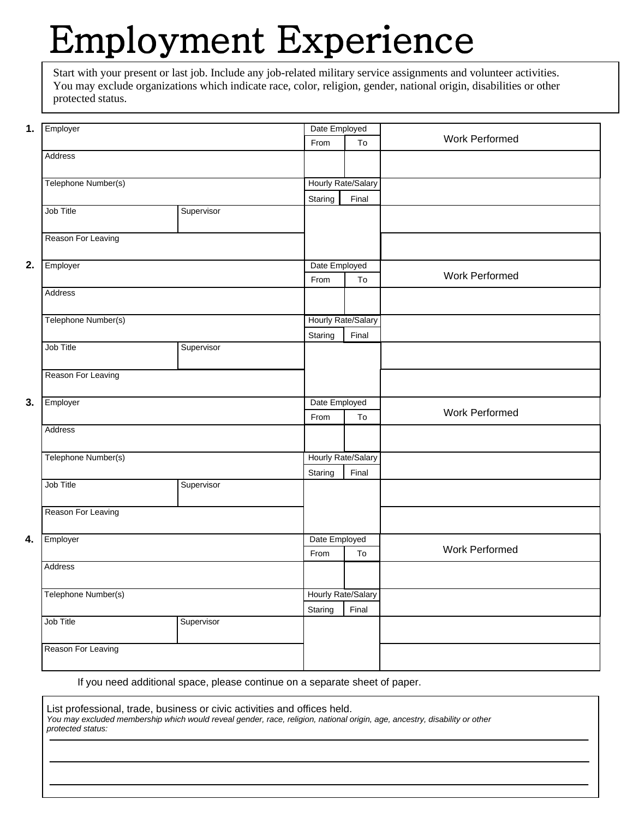## Employment Experience

Start with your present or last job. Include any job-related military service assignments and volunteer activities. You may exclude organizations which indicate race, color, religion, gender, national origin, disabilities or other protected status.

| 1. | Employer            |                    | Date Employed      |               |                       |
|----|---------------------|--------------------|--------------------|---------------|-----------------------|
|    |                     |                    | From               | To            | <b>Work Performed</b> |
|    | Address             |                    |                    |               |                       |
|    |                     |                    |                    |               |                       |
|    | Telephone Number(s) |                    | Hourly Rate/Salary |               |                       |
|    |                     |                    | Staring            | Final         |                       |
|    | Job Title           | Supervisor         |                    |               |                       |
|    |                     |                    |                    |               |                       |
|    | Reason For Leaving  |                    |                    |               |                       |
|    |                     |                    |                    |               |                       |
| 2. | Employer            |                    |                    | Date Employed | <b>Work Performed</b> |
|    |                     |                    | From               | To            |                       |
|    | Address             |                    |                    |               |                       |
|    |                     |                    |                    |               |                       |
|    | Telephone Number(s) |                    | Hourly Rate/Salary |               |                       |
|    |                     |                    | Staring            | Final         |                       |
|    | Job Title           | Supervisor         |                    |               |                       |
|    | Reason For Leaving  |                    |                    |               |                       |
|    |                     |                    |                    |               |                       |
| 3. | Employer            |                    |                    | Date Employed |                       |
|    |                     |                    | From               | To            | <b>Work Performed</b> |
|    | Address             |                    |                    |               |                       |
|    |                     |                    |                    |               |                       |
|    | Telephone Number(s) |                    | Hourly Rate/Salary |               |                       |
|    |                     |                    | Staring            | Final         |                       |
|    | Job Title           | Supervisor         |                    |               |                       |
|    |                     |                    |                    |               |                       |
|    | Reason For Leaving  |                    |                    |               |                       |
|    |                     |                    |                    |               |                       |
| 4. | Employer            | Date Employed      |                    |               |                       |
|    |                     |                    | From               | To            | <b>Work Performed</b> |
|    | Address             |                    |                    |               |                       |
|    |                     |                    |                    |               |                       |
|    | Telephone Number(s) | Hourly Rate/Salary |                    |               |                       |
|    |                     |                    | Staring            | Final         |                       |
|    | Job Title           | Supervisor         |                    |               |                       |
|    | Reason For Leaving  |                    |                    |               |                       |
|    |                     |                    |                    |               |                       |
|    |                     |                    |                    |               |                       |

If you need additional space, please continue on a separate sheet of paper.

List professional, trade, business or civic activities and offices held. You may excluded membership which would reveal gender, race, religion, national origin, age, ancestry, disability or other protected status: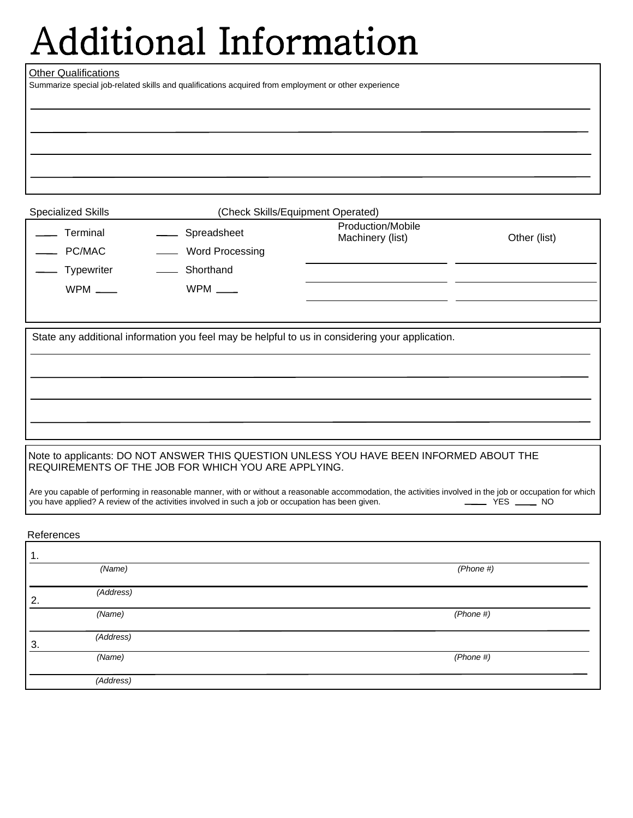# Additional Information

#### Other Qualifications

Summarize special job-related skills and qualifications acquired from employment or other experience

Terminal

Specialized Skills **Superint Contact Contact Contact Contact Contact Contact Contact Contact Contact Contact Conta** 

Production/Mobile

Machinery (list) **Other (list)** 

 $\overline{C}$ Typewriter

WPM \_\_\_\_\_

- Shorthand WPM  $\_\_$ 

**Spreadsheet** 

**Word Processing** 

State any additional information you feel may be helpful to us in considering your application.

### Note to applicants: DO NOT ANSWER THIS QUESTION UNLESS YOU HAVE BEEN INFORMED ABOUT THE REQUIREMENTS OF THE JOB FOR WHICH YOU ARE APPLYING.

Are you capable of performing in reasonable manner, with or without a reasonable accommodation, the activities involved in the job or occupation for which you have applied? A review of the activities involved in such a job you have applied? A review of the activities involved in such a job or occupation has been given.

References

| 1. |           |           |
|----|-----------|-----------|
|    | (Name)    | (Phone #) |
| 2. | (Address) |           |
|    | (Name)    | (Phone #) |
| 3. | (Address) |           |
|    | (Name)    | (Phone #) |
|    | (Address) |           |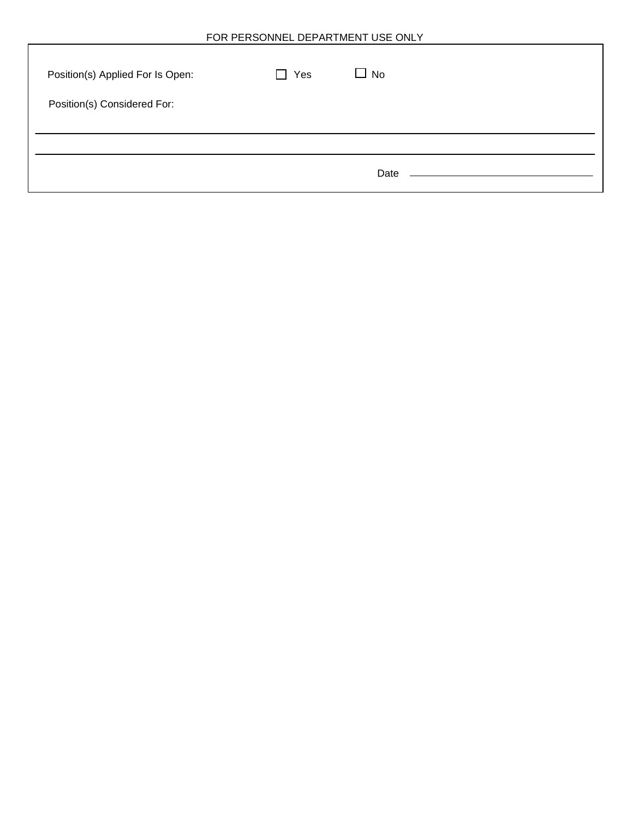| Position(s) Applied For Is Open: | Yes | No<br>$\mathbf{I}$ |  |
|----------------------------------|-----|--------------------|--|
| Position(s) Considered For:      |     |                    |  |
|                                  |     | Date               |  |